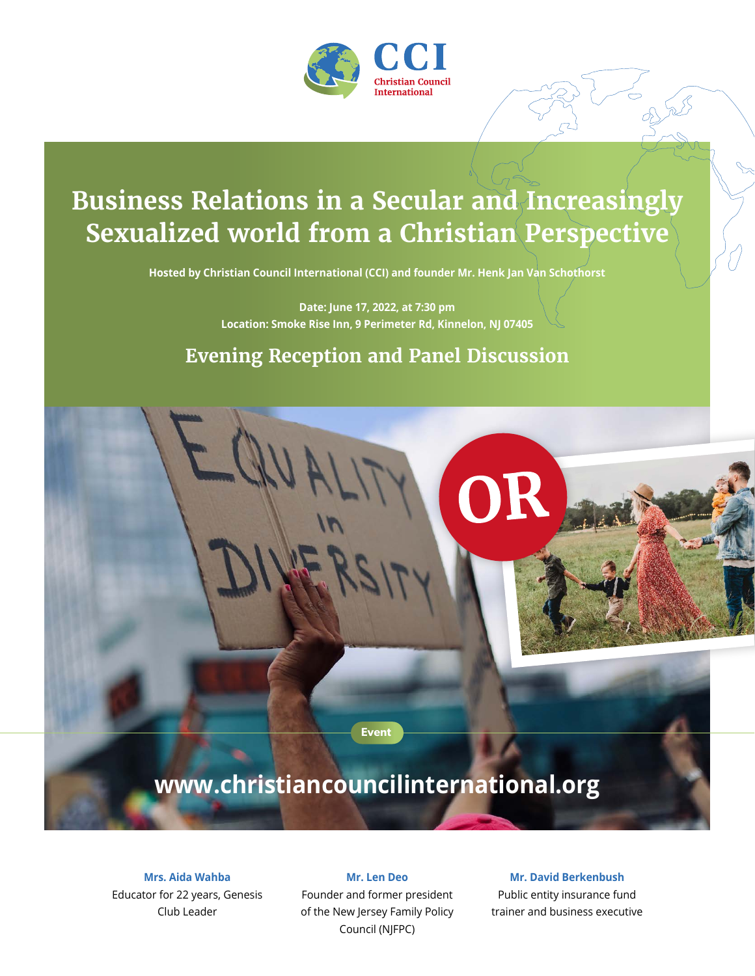

# **Business Relations in a Secular and Increasingly Sexualized world from a Christian Perspective**

**Hosted by Christian Council International (CCI) and founder Mr. Henk Jan Van Schothorst**

**Date: June 17, 2022, at 7:30 pm Location: Smoke Rise Inn, 9 Perimeter Rd, Kinnelon, NJ 07405**

### **Evening Reception and Panel Discussion**

OR

**Event**

## **www.christiancouncilinternational.org**

**Mrs. Aida Wahba**  Educator for 22 years, Genesis Club Leader

**Mr. Len Deo** Founder and former president of the New Jersey Family Policy Council (NJFPC)

**Mr. David Berkenbush**

Public entity insurance fund trainer and business executive